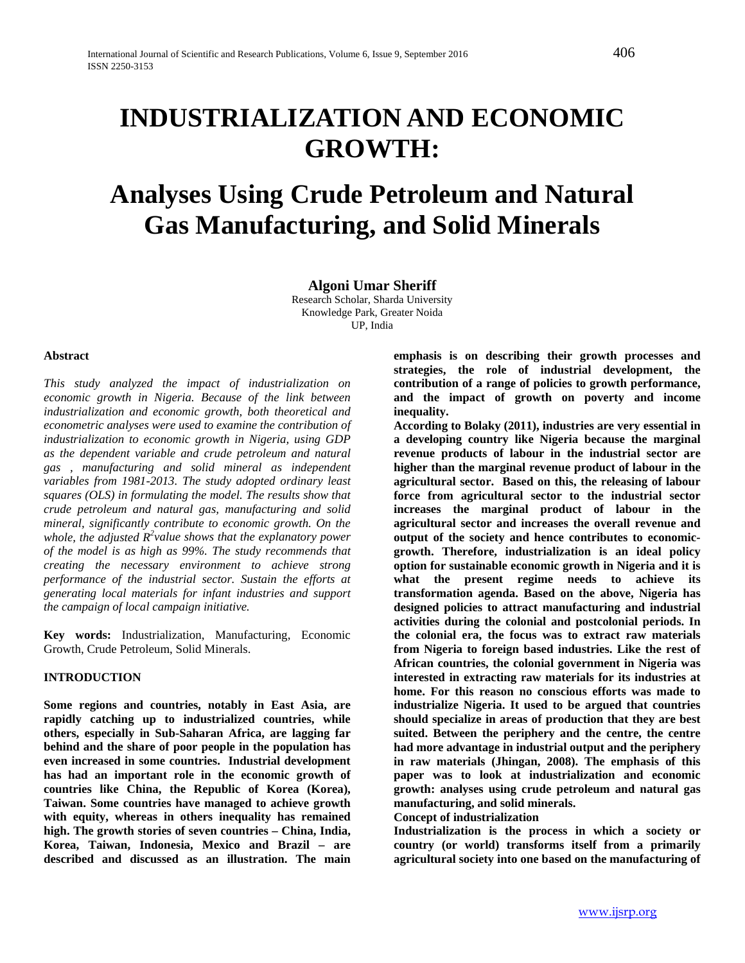# **Analyses Using Crude Petroleum and Natural Gas Manufacturing, and Solid Minerals**

**Algoni Umar Sheriff**

Research Scholar, Sharda University Knowledge Park, Greater Noida UP, India

#### **Abstract**

*This study analyzed the impact of industrialization on economic growth in Nigeria. Because of the link between industrialization and economic growth, both theoretical and econometric analyses were used to examine the contribution of industrialization to economic growth in Nigeria, using GDP as the dependent variable and crude petroleum and natural gas , manufacturing and solid mineral as independent variables from 1981-2013. The study adopted ordinary least squares (OLS) in formulating the model. The results show that crude petroleum and natural gas, manufacturing and solid mineral, significantly contribute to economic growth. On the*  whole, the adjusted  $R^2$  value shows that the explanatory power *of the model is as high as 99%. The study recommends that creating the necessary environment to achieve strong performance of the industrial sector. Sustain the efforts at generating local materials for infant industries and support the campaign of local campaign initiative.*

**Key words:** Industrialization, Manufacturing, Economic Growth, Crude Petroleum, Solid Minerals.

#### **INTRODUCTION**

**Some regions and countries, notably in East Asia, are rapidly catching up to industrialized countries, while others, especially in Sub-Saharan Africa, are lagging far behind and the share of poor people in the population has even increased in some countries. Industrial development has had an important role in the economic growth of countries like China, the Republic of Korea (Korea), Taiwan. Some countries have managed to achieve growth with equity, whereas in others inequality has remained high. The growth stories of seven countries – China, India, Korea, Taiwan, Indonesia, Mexico and Brazil – are described and discussed as an illustration. The main** 

**emphasis is on describing their growth processes and strategies, the role of industrial development, the contribution of a range of policies to growth performance, and the impact of growth on poverty and income inequality.** 

**According to Bolaky (2011), industries are very essential in a developing country like Nigeria because the marginal revenue products of labour in the industrial sector are higher than the marginal revenue product of labour in the agricultural sector. Based on this, the releasing of labour force from agricultural sector to the industrial sector increases the marginal product of labour in the agricultural sector and increases the overall revenue and output of the society and hence contributes to economicgrowth. Therefore, industrialization is an ideal policy option for sustainable economic growth in Nigeria and it is what the present regime needs to achieve its transformation agenda. Based on the above, Nigeria has designed policies to attract manufacturing and industrial activities during the colonial and postcolonial periods. In the colonial era, the focus was to extract raw materials from Nigeria to foreign based industries. Like the rest of African countries, the colonial government in Nigeria was interested in extracting raw materials for its industries at home. For this reason no conscious efforts was made to industrialize Nigeria. It used to be argued that countries should specialize in areas of production that they are best suited. Between the periphery and the centre, the centre had more advantage in industrial output and the periphery in raw materials (Jhingan, 2008). The emphasis of this paper was to look at industrialization and economic growth: analyses using crude petroleum and natural gas manufacturing, and solid minerals. Concept of industrialization**

**Industrialization is the process in which a society or country (or world) transforms itself from a primarily agricultural society into one based on the manufacturing of**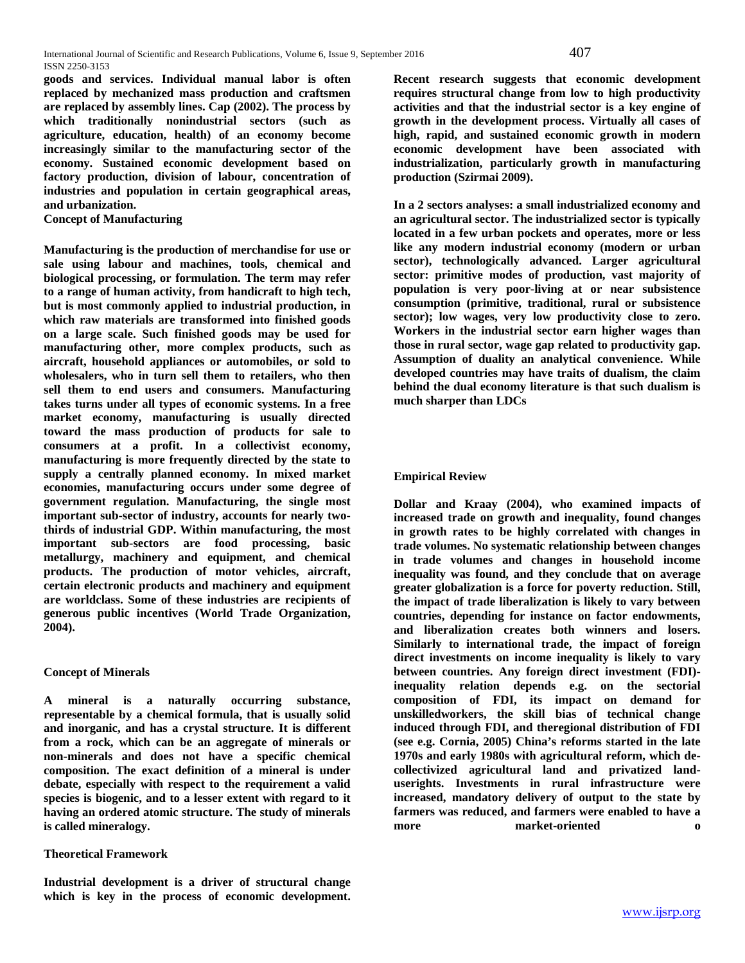**goods and services. Individual manual labor is often replaced by mechanized mass production and craftsmen are replaced by assembly lines. Cap (2002). The [process](http://www.businessdictionary.com/definition/process.html) by which traditionally nonindustrial [sectors](http://www.businessdictionary.com/definition/sector.html) (such as [agriculture,](http://www.businessdictionary.com/definition/agriculture.html) [education,](http://www.businessdictionary.com/definition/education.html) [health\)](http://www.businessdictionary.com/definition/health.html) of an [economy](http://www.businessdictionary.com/definition/economy.html) become increasingly similar to the [manufacturing sector](http://www.businessdictionary.com/definition/manufacturing-sector.html) of the economy. Sustained [economic development](http://www.businessdictionary.com/definition/economic-development.html) based on factory [production,](http://www.businessdictionary.com/definition/production.html) [division of labour,](http://www.businessdictionary.com/definition/division-of-labor.html) [concentration](http://www.businessdictionary.com/definition/concentration.html) of [industries](http://www.businessdictionary.com/definition/industry.html) and [population](http://www.businessdictionary.com/definition/population.html) in certain geographical areas, an[d urbanization.](http://www.businessdictionary.com/definition/urbanization.html)**

**Concept of Manufacturing**

**Manufacturing is the production of [merchandise](https://en.wikipedia.org/wiki/Merchandise) for use or sale using labour and [machines,](https://en.wikipedia.org/wiki/Machine) [tools,](https://en.wikipedia.org/wiki/Tool) chemical and biological processing, or formulation. The term may refer to a range of human activity, from [handicraft](https://en.wikipedia.org/wiki/Handicraft) to [high tech,](https://en.wikipedia.org/wiki/High_tech_manufacturing) but is most commonly applied to [industrial](https://en.wikipedia.org/wiki/Industry) production, in which [raw materials](https://en.wikipedia.org/wiki/Raw_material) are transformed into [finished goods](https://en.wikipedia.org/wiki/Finished_good) on a large scale. Such finished goods may be used for manufacturing other, more complex products, such as [aircraft,](https://en.wikipedia.org/wiki/Aircraft) [household appliances](https://en.wikipedia.org/wiki/Major_appliance) or [automobiles,](https://en.wikipedia.org/wiki/Automobiles) or sold to [wholesalers,](https://en.wikipedia.org/wiki/Wholesale) who in turn sell them to [retailers,](https://en.wikipedia.org/wiki/Retailer) who then sell them to [end users](https://en.wikipedia.org/wiki/End_user) and [consumers.](https://en.wikipedia.org/wiki/Consumer) Manufacturing takes turns under all types of [economic systems.](https://en.wikipedia.org/wiki/Economic_system) In a free market economy, manufacturing is usually directed toward the [mass production](https://en.wikipedia.org/wiki/Mass_production) of [products](https://en.wikipedia.org/wiki/Product_%28business%29) for sale to [consumers](https://en.wikipedia.org/wiki/Consumer) at a profit. In a [collectivist economy,](https://en.wikipedia.org/wiki/Collectivism#Economics) manufacturing is more frequently directed by the state to supply a centrally [planned economy.](https://en.wikipedia.org/wiki/Planned_economy) In mixed market economies, manufacturing occurs under some degree of government [regulation.](https://en.wikipedia.org/wiki/Regulation) Manufacturing, the single most important sub-sector of industry, accounts for nearly twothirds of industrial GDP. Within manufacturing, the most important sub-sectors are food processing, basic metallurgy, machinery and equipment, and chemical products. The production of motor vehicles, aircraft, certain electronic products and machinery and equipment are worldclass. Some of these industries are recipients of generous public incentives (World Trade Organization, 2004).** 

# **Concept of Minerals**

**A mineral is a naturally occurring substance, representable by a [chemical formula,](https://en.wikipedia.org/wiki/Chemical_formula) that is usually solid and [inorganic,](https://en.wikipedia.org/wiki/Inorganic_compound) and has a [crystal structure.](https://en.wikipedia.org/wiki/Crystal_structure) It is different from a [rock,](https://en.wikipedia.org/wiki/Rock_%28geology%29) which can be an aggregate of minerals or non-minerals and does not have a specific [chemical](https://en.wikipedia.org/wiki/Chemical_composition)  [composition.](https://en.wikipedia.org/wiki/Chemical_composition) The exact definition of a mineral is under debate, especially with respect to the requirement a valid species is biogenic, and to a lesser extent with regard to it having an ordered atomic structure. The study of minerals is calle[d mineralogy.](https://en.wikipedia.org/wiki/Mineralogy)**

# **Theoretical Framework**

**Industrial development is a driver of structural change which is key in the process of economic development.**  **Recent research suggests that economic development requires structural change from low to high productivity activities and that the industrial sector is a key engine of growth in the development process. Virtually all cases of high, rapid, and sustained economic growth in modern economic development have been associated with industrialization, particularly growth in manufacturing production (Szirmai 2009).**

**In a 2 sectors analyses: a small industrialized economy and an agricultural sector. The industrialized sector is typically located in a few urban pockets and operates, more or less like any modern industrial economy (modern or urban sector), technologically advanced. Larger agricultural sector: primitive modes of production, vast majority of population is very poor-living at or near subsistence consumption (primitive, traditional, rural or subsistence sector); low wages, very low productivity close to zero. Workers in the industrial sector earn higher wages than those in rural sector, wage gap related to productivity gap. Assumption of duality an analytical convenience. While developed countries may have traits of dualism, the claim behind the dual economy literature is that such dualism is much sharper than LDCs**

## **Empirical Review**

**Dollar and Kraay (2004), who examined impacts of increased trade on growth and inequality, found changes in growth rates to be highly correlated with changes in trade volumes. No systematic relationship between changes in trade volumes and changes in household income inequality was found, and they conclude that on average greater globalization is a force for poverty reduction. Still, the impact of trade liberalization is likely to vary between countries, depending for instance on factor endowments, and liberalization creates both winners and losers. Similarly to international trade, the impact of foreign direct investments on income inequality is likely to vary between countries. Any foreign direct investment (FDI) inequality relation depends e.g. on the sectorial composition of FDI, its impact on demand for unskilledworkers, the skill bias of technical change induced through FDI, and theregional distribution of FDI (see e.g. Cornia, 2005) China's reforms started in the late 1970s and early 1980s with agricultural reform, which decollectivized agricultural land and privatized landuserights. Investments in rural infrastructure were increased, mandatory delivery of output to the state by farmers was reduced, and farmers were enabled to have a more market-oriented o**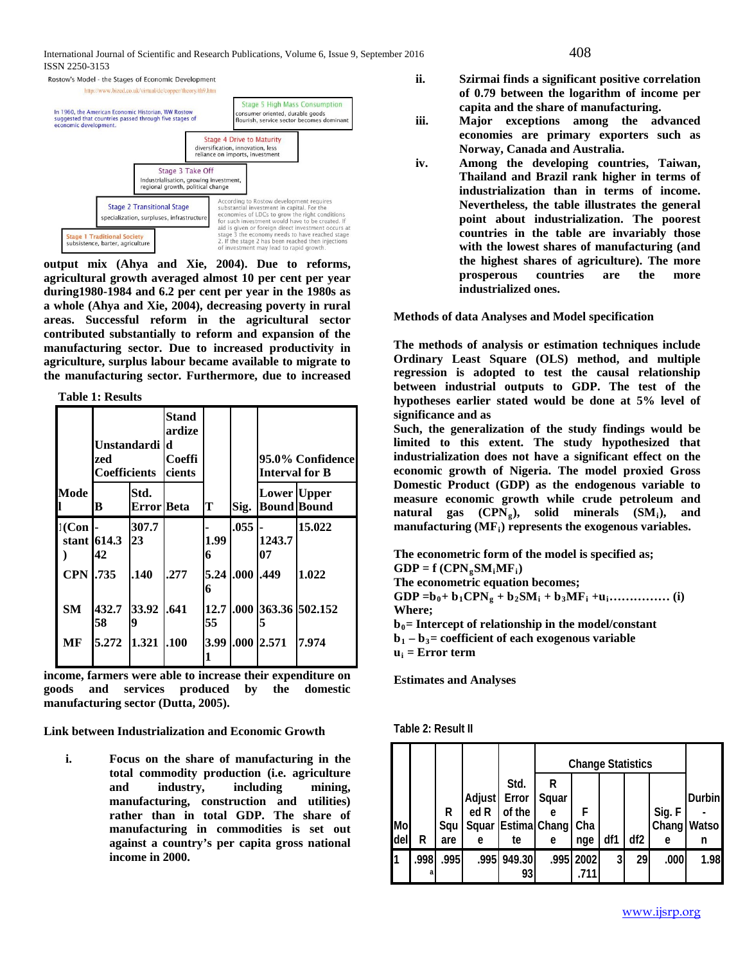International Journal of Scientific and Research Publications, Volume 6, Issue 9, September 2016 408 ISSN 2250-3153



**output mix (Ahya and Xie, 2004). Due to reforms, agricultural growth averaged almost 10 per cent per year during1980-1984 and 6.2 per cent per year in the 1980s as a whole (Ahya and Xie, 2004), decreasing poverty in rural areas. Successful reform in the agricultural sector contributed substantially to reform and expansion of the manufacturing sector. Due to increased productivity in agriculture, surplus labour became available to migrate to the manufacturing sector. Furthermore, due to increased** 

**Table 1: Results**

|                  | Unstandardi l<br>zed<br>Coefficients |                           | Stand<br>ardize<br>d<br><b>Coeffi</b><br>cients |            | 95.0% Confidence<br>Interval for B |                    |                     |
|------------------|--------------------------------------|---------------------------|-------------------------------------------------|------------|------------------------------------|--------------------|---------------------|
| <b>Mode</b>      | в                                    | Std.<br><b>Error</b> Beta |                                                 | Т          | Sig.                               | <b>Lower</b> Upper | <b>Bound Bound</b>  |
| $1$ (Con         | stant $614.3$<br>42                  | 307.7<br>23               |                                                 | 1.99<br>6  | .055                               | 1243.7<br>07       | 15.022              |
| <b>CPN 1.735</b> |                                      | .140                      | .277                                            | 6          | 5.24 .000 .449                     |                    | 1.022               |
| <b>SM</b>        | 432.7<br>58                          | 33.92<br>9                | .641                                            | 12.7<br>55 |                                    | 5                  | .000 363.36 502.152 |
| МF               | 5.272                                | 1.321                     | .100                                            | 3.99       |                                    | .000 2.571         | 7.974               |

**income, farmers were able to increase their expenditure on goods and services produced by the domestic manufacturing sector (Dutta, 2005).**

**Link between Industrialization and Economic Growth**

**i. Focus on the share of manufacturing in the total commodity production (i.e. agriculture and industry, including mining, manufacturing, construction and utilities) rather than in total GDP. The share of manufacturing in commodities is set out against a country's per capita gross national income in 2000.** 

- **ii. Szirmai finds a significant positive correlation of 0.79 between the logarithm of income per capita and the share of manufacturing.**
- **iii. Major exceptions among the advanced economies are primary exporters such as Norway, Canada and Australia.**
- **iv. Among the developing countries, Taiwan, Thailand and Brazil rank higher in terms of industrialization than in terms of income. Nevertheless, the table illustrates the general point about industrialization. The poorest countries in the table are invariably those with the lowest shares of manufacturing (and the highest shares of agriculture). The more prosperous countries are the more industrialized ones.**

**Methods of data Analyses and Model specification**

**The methods of analysis or estimation techniques include Ordinary Least Square (OLS) method, and multiple regression is adopted to test the causal relationship between industrial outputs to GDP. The test of the hypotheses earlier stated would be done at 5% level of significance and as** 

**Such, the generalization of the study findings would be limited to this extent. The study hypothesized that industrialization does not have a significant effect on the economic growth of Nigeria. The model proxied Gross Domestic Product (GDP) as the endogenous variable to measure economic growth while crude petroleum and**  natural gas (CPN<sub>g</sub>), solid minerals (SM<sub>i</sub>), and manufacturing (MF<sub>i</sub>) represents the exogenous variables.

**The econometric form of the model is specified as;**  $GDP = f (CPN<sub>g</sub>SM<sub>i</sub>MF<sub>i</sub>)$ **The econometric equation becomes; GDP =b0+ b1CPNg + b2SMi + b3MFi +ui…………… (i) Where; = Intercept of relationship in the model/constant**  $$ 

 $u_i$  = Error term

**Estimates and Analyses**

| Table 2: Result II |  |  |
|--------------------|--|--|
|--------------------|--|--|

|     |      |       |              |                        | <b>Change Statistics</b> |           |                         |     |        |               |
|-----|------|-------|--------------|------------------------|--------------------------|-----------|-------------------------|-----|--------|---------------|
|     |      |       |              | Std.                   | R                        |           |                         |     |        |               |
|     |      |       | Adjust Error |                        | Squar                    |           |                         |     |        | <b>Durbin</b> |
|     |      | R     | ed R         | of the                 | e                        | F         |                         |     | Sig. F |               |
| Mo  |      | Squ   |              | Squar Estima Chang Cha |                          |           |                         |     | Chang  | Watso         |
| del | R    | are   | e            | te                     | e                        | nge       | df1                     | df2 | e      | n             |
|     | .998 | .9951 |              | .995 949.30            |                          | .995 2002 | $\overline{\mathbf{3}}$ | 29  | .000   | 1.98          |
|     | a    |       |              | 93                     |                          | .711      |                         |     |        |               |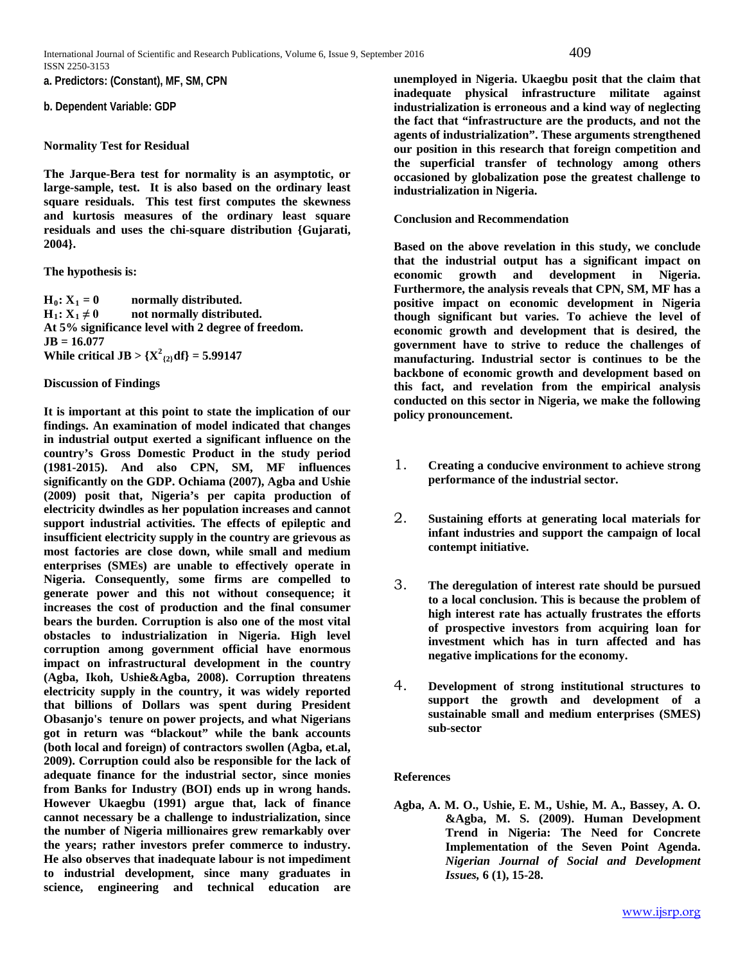**a. Predictors: (Constant), MF, SM, CPN**

#### **b. Dependent Variable: GDP**

#### **Normality Test for Residual**

**The Jarque-Bera test for normality is an asymptotic, or large-sample, test. It is also based on the ordinary least square residuals. This test first computes the skewness and kurtosis measures of the ordinary least square residuals and uses the chi-square distribution {Gujarati, 2004}.** 

**The hypothesis is:** 

 $H_0: X_1 = 0$  normally distributed.<br>  $H_1: X_1 \neq 0$  not normally distributed. **hdhnormally** distributed. **At 5% significance level with 2 degree of freedom. JB = 16.077 While critical JB**  $> \{X^2_{(2)} df\} = 5.99147$ 

#### **Discussion of Findings**

**It is important at this point to state the implication of our findings. An examination of model indicated that changes in industrial output exerted a significant influence on the country's Gross Domestic Product in the study period (1981-2015). And also CPN, SM, MF influences significantly on the GDP. Ochiama (2007), Agba and Ushie (2009) posit that, Nigeria's per capita production of electricity dwindles as her population increases and cannot support industrial activities. The effects of epileptic and insufficient electricity supply in the country are grievous as most factories are close down, while small and medium enterprises (SMEs) are unable to effectively operate in Nigeria. Consequently, some firms are compelled to generate power and this not without consequence; it increases the cost of production and the final consumer bears the burden. Corruption is also one of the most vital obstacles to industrialization in Nigeria. High level corruption among government official have enormous impact on infrastructural development in the country (Agba, Ikoh, Ushie&Agba, 2008). Corruption threatens electricity supply in the country, it was widely reported that billions of Dollars was spent during President Obasanjo's tenure on power projects, and what Nigerians got in return was "blackout" while the bank accounts (both local and foreign) of contractors swollen (Agba, et.al, 2009). Corruption could also be responsible for the lack of adequate finance for the industrial sector, since monies from Banks for Industry (BOI) ends up in wrong hands. However Ukaegbu (1991) argue that, lack of finance cannot necessary be a challenge to industrialization, since the number of Nigeria millionaires grew remarkably over the years; rather investors prefer commerce to industry. He also observes that inadequate labour is not impediment to industrial development, since many graduates in science, engineering and technical education are** 

**unemployed in Nigeria. Ukaegbu posit that the claim that inadequate physical infrastructure militate against industrialization is erroneous and a kind way of neglecting the fact that "infrastructure are the products, and not the agents of industrialization". These arguments strengthened our position in this research that foreign competition and the superficial transfer of technology among others occasioned by globalization pose the greatest challenge to industrialization in Nigeria.**

## **Conclusion and Recommendation**

**Based on the above revelation in this study, we conclude that the industrial output has a significant impact on economic growth and development in Nigeria. Furthermore, the analysis reveals that CPN, SM, MF has a positive impact on economic development in Nigeria though significant but varies. To achieve the level of economic growth and development that is desired, the government have to strive to reduce the challenges of manufacturing. Industrial sector is continues to be the backbone of economic growth and development based on this fact, and revelation from the empirical analysis conducted on this sector in Nigeria, we make the following policy pronouncement.** 

- 1. **Creating a conducive environment to achieve strong performance of the industrial sector.**
- 2. **Sustaining efforts at generating local materials for infant industries and support the campaign of local contempt initiative.**
- 3. **The deregulation of interest rate should be pursued to a local conclusion. This is because the problem of high interest rate has actually frustrates the efforts of prospective investors from acquiring loan for investment which has in turn affected and has negative implications for the economy.**
- 4. **Development of strong institutional structures to support the growth and development of a sustainable small and medium enterprises (SMES) sub-sector**

# **References**

**Agba, A. M. O., Ushie, E. M., Ushie, M. A., Bassey, A. O. &Agba, M. S. (2009). Human Development Trend in Nigeria: The Need for Concrete Implementation of the Seven Point Agenda.**  *Nigerian Journal of Social and Development Issues,* **6 (1), 15-28.**